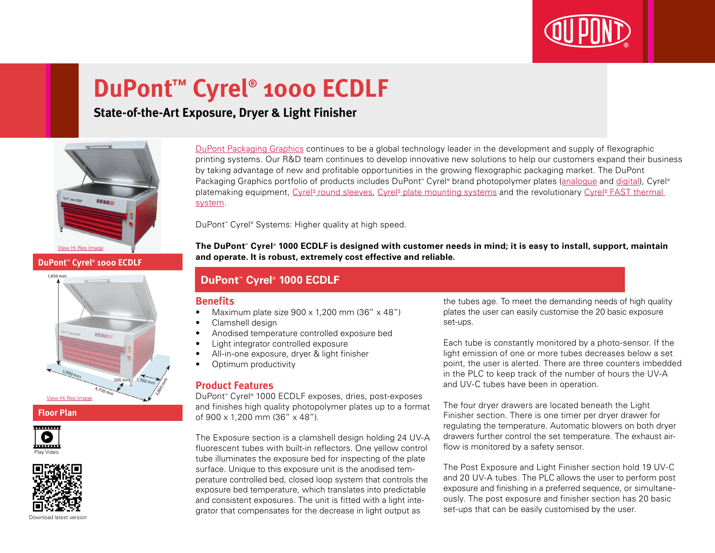

# **DuPont™ Cyrel® 1000 ECDLF**

## **State-of-the-Art Exposure, Dryer & Light Finisher**



**DuPont™ Cyrel® 1000 ECDLF**



**Floor Plan**





Download latest versio

[DuPont Packaging Graphics](http://www2.dupont.com/Packaging_Graphics/en_GB/index.html) continues to be a global technology leader in the development and supply of flexographic printing systems. Our R&D team continues to develop innovative new solutions to help our customers expand their business by taking advantage of new and profitable opportunities in the growing flexographic packaging market. The DuPont Packaging Graphics portfolio of products includes DuPont™ Cyrel® brand photopolymer plates [\(analogue](http://www2.dupont.com/Packaging_Graphics/en_GB/products/solvent_platemaking/index.html) and [digital](http://www2.dupont.com/Packaging_Graphics/en_GB/products/digital_wkflow/digital_workflow.html)), Cyrel® platemaking equipment, Cyrel® [round sleeves,](http://www2.dupont.com/Packaging_Graphics/en_GB/products/cyrel_round/index_cyrelround2.html) Cyrel® [plate mounting systems](http://www2.dupont.com/Packaging_Graphics/en_GB/products/mounting_systems/index.html) and the revolutionary Cyrel® FAST thermal [system](http://www2.dupont.com/Packaging_Graphics/en_GB/products/cyrel_fast/cyrelfast_index.html).

DuPont™ Cyrel® Systems: Higher quality at high speed.

**The DuPont™ Cyrel® 1000 ECDLF is designed with customer needs in mind; it is easy to install, support, maintain and operate. It is robust, extremely cost effective and reliable.**

### **DuPont™ Cyrel® 1000 ECDLF**

#### **Benefits**

- Maximum plate size  $900 \times 1,200$  mm  $(36'' \times 48'')$
- Clamshell design
- • Anodised temperature controlled exposure bed
- • Light integrator controlled exposure
- All-in-one exposure, dryer & light finisher
- Optimum productivity

#### **Product Features**

DuPont™ Cyrel® 1000 ECDLF exposes, dries, post-exposes and finishes high quality photopolymer plates up to a format of 900 x 1,200 mm (36" x 48").

The Exposure section is a clamshell design holding 24 UV-A fluorescent tubes with built-in reflectors. One yellow control tube illuminates the exposure bed for inspecting of the plate surface. Unique to this exposure unit is the anodised temperature controlled bed, closed loop system that controls the exposure bed temperature, which translates into predictable and consistent exposures. The unit is fitted with a light integrator that compensates for the decrease in light output as

the tubes age. To meet the demanding needs of high quality plates the user can easily customise the 20 basic exposure set-ups.

Each tube is constantly monitored by a photo-sensor. If the light emission of one or more tubes decreases below a set point, the user is alerted. There are three counters imbedded in the PLC to keep track of the number of hours the UV-A and UV-C tubes have been in operation.

The four dryer drawers are located beneath the Light Finisher section. There is one timer per dryer drawer for regulating the temperature. Automatic blowers on both dryer drawers further control the set temperature. The exhaust airflow is monitored by a safety sensor.

The Post Exposure and Light Finisher section hold 19 UV-C and 20 UV-A tubes. The PLC allows the user to perform post exposure and finishing in a preferred sequence, or simultaneously. The post exposure and finisher section has 20 basic set-ups that can be easily customised by the user.